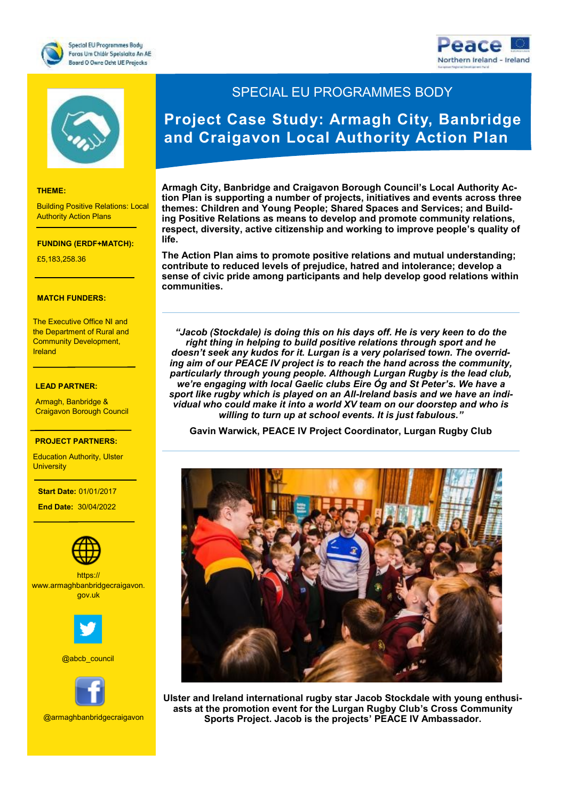





#### **THEME:**

Building Positive Relations: Local Authority Action Plans

#### **FUNDING (ERDF+MATCH):**

£5,183,258.36

#### **MATCH FUNDERS:**

The Executive Office NI and the Department of Rural and Community Development, Ireland

**FUNDING:**

### €7,727,271.20 **LEAD PARTNER:**

Armagh, Banbridge & Craigavon Borough Council

#### **PROJECT PARTNERS:**

Education Authority, Ulster<br>University **University** 

- The South West

#### **Start Date:** 01/01/2017

of Scotland  **End Date:** 30/04/2022



website of the series of the series of the series of the series of the series of the series of the series of th<br>g<mark>ov.uk</mark> series of the series of the series of the series of the series of the series of the series of the ser https:// www.armaghbanbridgecraigavon.



@abcb\_council



@armaghbanbridgecraigavon

## SPECIAL EU PROGRAMMES BODY

# **Project Case Study: Armagh City, Banbridge and Craigavon Local Authority Action Plan**

**Armagh City, Banbridge and Craigavon Borough Council's Local Authority Action Plan is supporting a number of projects, initiatives and events across three themes: Children and Young People; Shared Spaces and Services; and Building Positive Relations as means to develop and promote community relations, respect, diversity, active citizenship and working to improve people's quality of life.** 

**The Action Plan aims to promote positive relations and mutual understanding; contribute to reduced levels of prejudice, hatred and intolerance; develop a sense of civic pride among participants and help develop good relations within communities.** 

*"Jacob (Stockdale) is doing this on his days off. He is very keen to do the right thing in helping to build positive relations through sport and he doesn't seek any kudos for it. Lurgan is a very polarised town. The overriding aim of our PEACE IV project is to reach the hand across the community, particularly through young people. Although Lurgan Rugby is the lead club, we're engaging with local Gaelic clubs Eire Óg and St Peter's. We have a sport like rugby which is played on an All-Ireland basis and we have an individual who could make it into a world XV team on our doorstep and who is willing to turn up at school events. It is just fabulous."*

**Gavin Warwick, PEACE IV Project Coordinator, Lurgan Rugby Club**



**Ulster and Ireland international rugby star Jacob Stockdale with young enthusiasts at the promotion event for the Lurgan Rugby Club's Cross Community Sports Project. Jacob is the projects' PEACE IV Ambassador.**